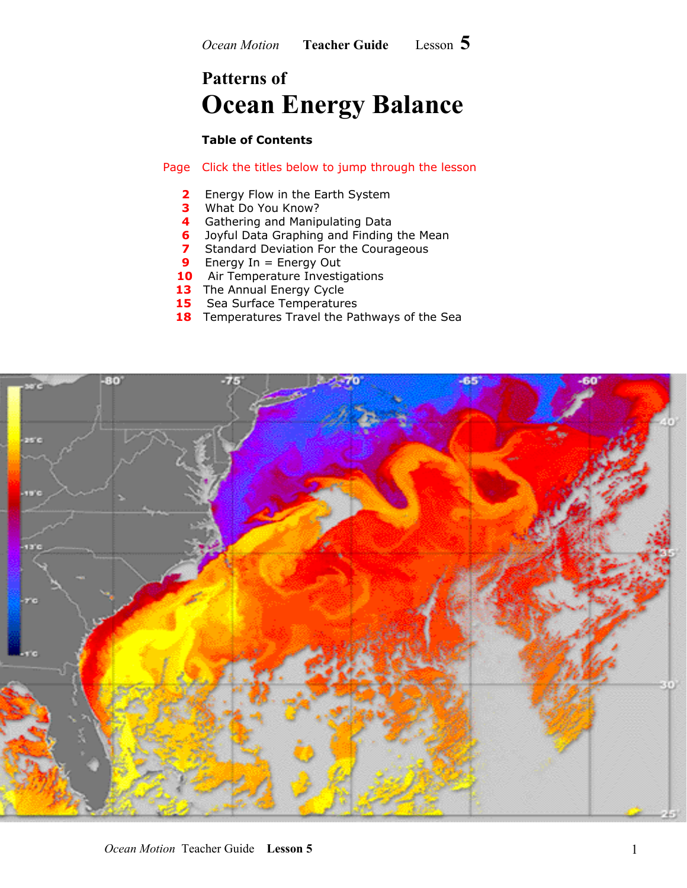## **Patterns of Ocean Energy Balance**

#### **Table of Contents**

Page Click the titles below to jump through the lesson

- **2 Energy Flow in the Earth System**
- **3** What Do You Know?
- **4** Gathering and Manipulating Data
- **6** Joyful Data Graphing and Finding the Mean
- **7** Standard Deviation For the Courageous
- **9** Energy In = Energy Out
- **10** Air Temperature Investigations
- **13** The Annual Energy Cycle
- **15** Sea Surface Temperatures
- **18** Temperatures Travel the Pathways of the Sea

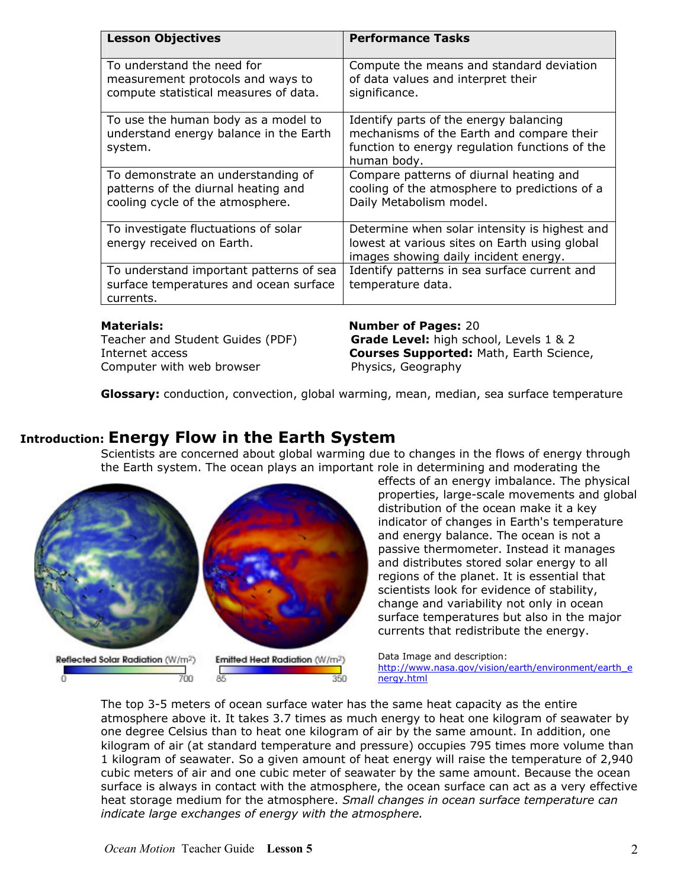| <b>Lesson Objectives</b>                                                                                      | <b>Performance Tasks</b>                                                                                                                             |
|---------------------------------------------------------------------------------------------------------------|------------------------------------------------------------------------------------------------------------------------------------------------------|
| To understand the need for<br>measurement protocols and ways to<br>compute statistical measures of data.      | Compute the means and standard deviation<br>of data values and interpret their<br>significance.                                                      |
| To use the human body as a model to<br>understand energy balance in the Earth<br>system.                      | Identify parts of the energy balancing<br>mechanisms of the Earth and compare their<br>function to energy regulation functions of the<br>human body. |
| To demonstrate an understanding of<br>patterns of the diurnal heating and<br>cooling cycle of the atmosphere. | Compare patterns of diurnal heating and<br>cooling of the atmosphere to predictions of a<br>Daily Metabolism model.                                  |
| To investigate fluctuations of solar<br>energy received on Earth.                                             | Determine when solar intensity is highest and<br>lowest at various sites on Earth using global<br>images showing daily incident energy.              |
| To understand important patterns of sea<br>surface temperatures and ocean surface<br>currents.                | Identify patterns in sea surface current and<br>temperature data.                                                                                    |
| <b>Materials:</b><br>Teacher and Student Guides (PDF)                                                         | <b>Number of Pages: 20</b><br>Grade Level: high school, Levels 1 & 2                                                                                 |

Computer with web browser **Example 2** Physics, Geography

# Internet access **Courses Supported:** Math, Earth Science,

**Glossary:** conduction, convection, global warming, mean, median, sea surface temperature

## **Introduction: Energy Flow in the Earth System**

Scientists are concerned about global warming due to changes in the flows of energy through the Earth system. The ocean plays an important role in determining and moderating the



effects of an energy imbalance. The physical properties, large-scale movements and global distribution of the ocean make it a key indicator of changes in Earth's temperature and energy balance. The ocean is not a passive thermometer. Instead it manages and distributes stored solar energy to all regions of the planet. It is essential that scientists look for evidence of stability, change and variability not only in ocean surface temperatures but also in the major currents that redistribute the energy.

Data Image and description: [http://www.nasa.gov/vision/earth/environment/earth\\_e](http://www.nasa.gov/vision/earth/environment/earth_energy.html) [nergy.html](http://www.nasa.gov/vision/earth/environment/earth_energy.html)

The top 3-5 meters of ocean surface water has the same heat capacity as the entire atmosphere above it. It takes 3.7 times as much energy to heat one kilogram of seawater by one degree Celsius than to heat one kilogram of air by the same amount. In addition, one kilogram of air (at standard temperature and pressure) occupies 795 times more volume than 1 kilogram of seawater. So a given amount of heat energy will raise the temperature of 2,940 cubic meters of air and one cubic meter of seawater by the same amount. Because the ocean surface is always in contact with the atmosphere, the ocean surface can act as a very effective heat storage medium for the atmosphere. *Small changes in ocean surface temperature can indicate large exchanges of energy with the atmosphere.*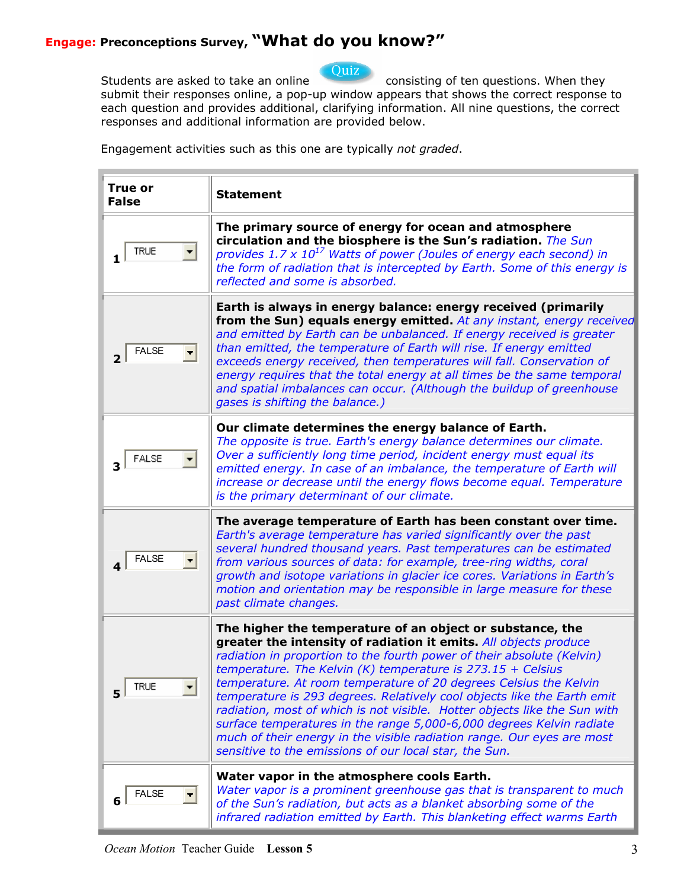

Students are asked to take an online consisting of ten questions. When they submit their responses online, a pop-up window appears that shows the correct response to each question and provides additional, clarifying information. All nine questions, the correct responses and additional information are provided below.

Engagement activities such as this one are typically *not graded*.

| <b>True or</b><br><b>False</b> | <b>Statement</b>                                                                                                                                                                                                                                                                                                                                                                                                                                                                                                                                                                                                                                                                                                  |
|--------------------------------|-------------------------------------------------------------------------------------------------------------------------------------------------------------------------------------------------------------------------------------------------------------------------------------------------------------------------------------------------------------------------------------------------------------------------------------------------------------------------------------------------------------------------------------------------------------------------------------------------------------------------------------------------------------------------------------------------------------------|
| <b>TRUE</b>                    | The primary source of energy for ocean and atmosphere<br>circulation and the biosphere is the Sun's radiation. The Sun<br>provides $1.7 \times 10^{17}$ Watts of power (Joules of energy each second) in<br>the form of radiation that is intercepted by Earth. Some of this energy is<br>reflected and some is absorbed.                                                                                                                                                                                                                                                                                                                                                                                         |
| <b>FALSE</b>                   | Earth is always in energy balance: energy received (primarily<br>from the Sun) equals energy emitted. At any instant, energy received<br>and emitted by Earth can be unbalanced. If energy received is greater<br>than emitted, the temperature of Earth will rise. If energy emitted<br>exceeds energy received, then temperatures will fall. Conservation of<br>energy requires that the total energy at all times be the same temporal<br>and spatial imbalances can occur. (Although the buildup of greenhouse<br>gases is shifting the balance.)                                                                                                                                                             |
| <b>FALSE</b>                   | Our climate determines the energy balance of Earth.<br>The opposite is true. Earth's energy balance determines our climate.<br>Over a sufficiently long time period, incident energy must equal its<br>emitted energy. In case of an imbalance, the temperature of Earth will<br>increase or decrease until the energy flows become equal. Temperature<br>is the primary determinant of our climate.                                                                                                                                                                                                                                                                                                              |
| <b>FALSE</b>                   | The average temperature of Earth has been constant over time.<br>Earth's average temperature has varied significantly over the past<br>several hundred thousand years. Past temperatures can be estimated<br>from various sources of data: for example, tree-ring widths, coral<br>growth and isotope variations in glacier ice cores. Variations in Earth's<br>motion and orientation may be responsible in large measure for these<br>past climate changes.                                                                                                                                                                                                                                                     |
| <b>TRUE</b><br>51              | The higher the temperature of an object or substance, the<br>greater the intensity of radiation it emits. All objects produce<br>radiation in proportion to the fourth power of their absolute (Kelvin)<br>temperature. The Kelvin (K) temperature is $273.15 + Celsius$<br>temperature. At room temperature of 20 degrees Celsius the Kelvin<br>temperature is 293 degrees. Relatively cool objects like the Earth emit<br>radiation, most of which is not visible. Hotter objects like the Sun with<br>surface temperatures in the range 5,000-6,000 degrees Kelvin radiate<br>much of their energy in the visible radiation range. Our eyes are most<br>sensitive to the emissions of our local star, the Sun. |
| <b>FALSE</b>                   | Water vapor in the atmosphere cools Earth.<br>Water vapor is a prominent greenhouse gas that is transparent to much<br>of the Sun's radiation, but acts as a blanket absorbing some of the<br>infrared radiation emitted by Earth. This blanketing effect warms Earth                                                                                                                                                                                                                                                                                                                                                                                                                                             |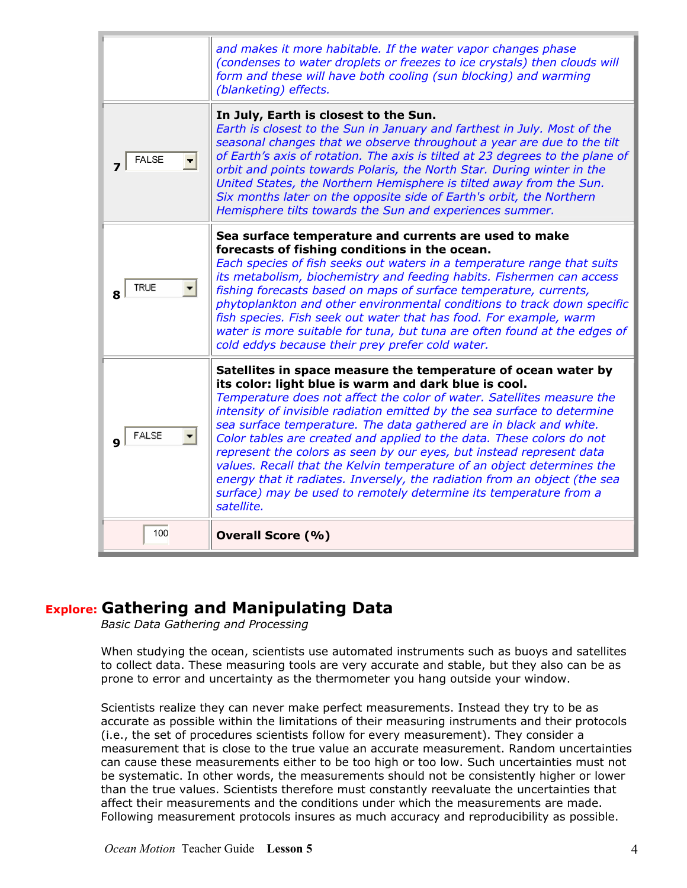|              | and makes it more habitable. If the water vapor changes phase<br>(condenses to water droplets or freezes to ice crystals) then clouds will<br>form and these will have both cooling (sun blocking) and warming<br>(blanketing) effects.                                                                                                                                                                                                                                                                                                                                                                                                                                                                                                      |
|--------------|----------------------------------------------------------------------------------------------------------------------------------------------------------------------------------------------------------------------------------------------------------------------------------------------------------------------------------------------------------------------------------------------------------------------------------------------------------------------------------------------------------------------------------------------------------------------------------------------------------------------------------------------------------------------------------------------------------------------------------------------|
| <b>FALSE</b> | In July, Earth is closest to the Sun.<br>Earth is closest to the Sun in January and farthest in July. Most of the<br>seasonal changes that we observe throughout a year are due to the tilt<br>of Earth's axis of rotation. The axis is tilted at 23 degrees to the plane of<br>orbit and points towards Polaris, the North Star. During winter in the<br>United States, the Northern Hemisphere is tilted away from the Sun.<br>Six months later on the opposite side of Earth's orbit, the Northern<br>Hemisphere tilts towards the Sun and experiences summer.                                                                                                                                                                            |
| <b>TRUE</b>  | Sea surface temperature and currents are used to make<br>forecasts of fishing conditions in the ocean.<br>Each species of fish seeks out waters in a temperature range that suits<br>its metabolism, biochemistry and feeding habits. Fishermen can access<br>fishing forecasts based on maps of surface temperature, currents,<br>phytoplankton and other environmental conditions to track down specific<br>fish species. Fish seek out water that has food. For example, warm<br>water is more suitable for tuna, but tuna are often found at the edges of<br>cold eddys because their prey prefer cold water.                                                                                                                            |
| <b>FALSE</b> | Satellites in space measure the temperature of ocean water by<br>its color: light blue is warm and dark blue is cool.<br>Temperature does not affect the color of water. Satellites measure the<br>intensity of invisible radiation emitted by the sea surface to determine<br>sea surface temperature. The data gathered are in black and white.<br>Color tables are created and applied to the data. These colors do not<br>represent the colors as seen by our eyes, but instead represent data<br>values. Recall that the Kelvin temperature of an object determines the<br>energy that it radiates. Inversely, the radiation from an object (the sea<br>surface) may be used to remotely determine its temperature from a<br>satellite. |
| 100          | <b>Overall Score (%)</b>                                                                                                                                                                                                                                                                                                                                                                                                                                                                                                                                                                                                                                                                                                                     |

## **Explore: Gathering and Manipulating Data**

*Basic Data Gathering and Processing* 

When studying the ocean, scientists use automated instruments such as buoys and satellites to collect data. These measuring tools are very accurate and stable, but they also can be as prone to error and uncertainty as the thermometer you hang outside your window.

Scientists realize they can never make perfect measurements. Instead they try to be as accurate as possible within the limitations of their measuring instruments and their protocols (i.e., the set of procedures scientists follow for every measurement). They consider a measurement that is close to the true value an accurate measurement. Random uncertainties can cause these measurements either to be too high or too low. Such uncertainties must not be systematic. In other words, the measurements should not be consistently higher or lower than the true values. Scientists therefore must constantly reevaluate the uncertainties that affect their measurements and the conditions under which the measurements are made. Following measurement protocols insures as much accuracy and reproducibility as possible.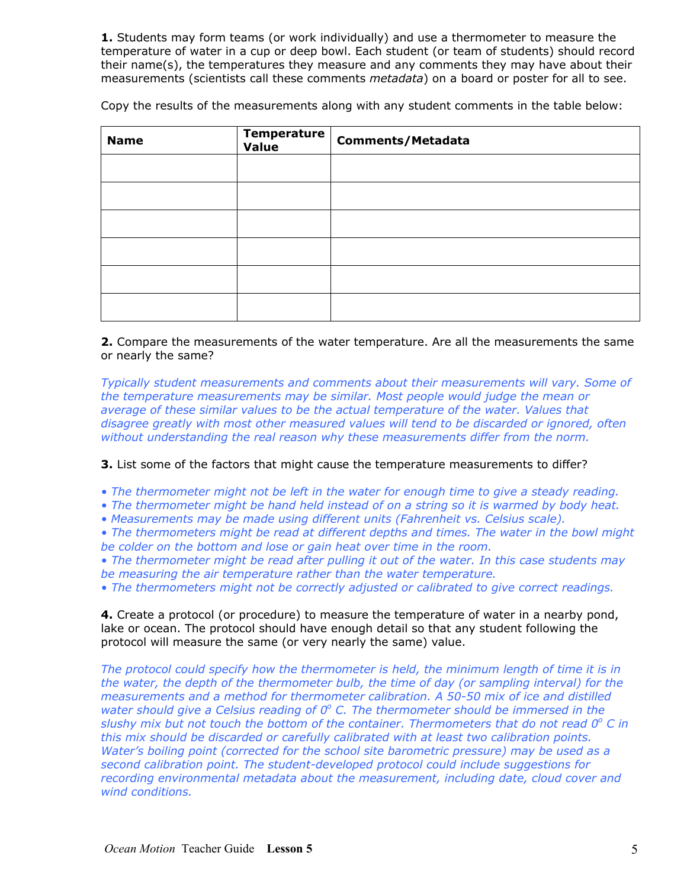**1.** Students may form teams (or work individually) and use a thermometer to measure the temperature of water in a cup or deep bowl. Each student (or team of students) should record their name(s), the temperatures they measure and any comments they may have about their measurements (scientists call these comments *metadata*) on a board or poster for all to see.

Copy the results of the measurements along with any student comments in the table below:

| <b>Name</b> | Temperature | <b>Comments/Metadata</b> |
|-------------|-------------|--------------------------|
|             |             |                          |
|             |             |                          |
|             |             |                          |
|             |             |                          |
|             |             |                          |
|             |             |                          |

#### **2.** Compare the measurements of the water temperature. Are all the measurements the same or nearly the same?

*Typically student measurements and comments about their measurements will vary. Some of the temperature measurements may be similar. Most people would judge the mean or average of these similar values to be the actual temperature of the water. Values that disagree greatly with most other measured values will tend to be discarded or ignored, often without understanding the real reason why these measurements differ from the norm.* 

**3.** List some of the factors that might cause the temperature measurements to differ?

- *• The thermometer might not be left in the water for enough time to give a steady reading.*
- *The thermometer might be hand held instead of on a string so it is warmed by body heat.*
- *• Measurements may be made using different units (Fahrenheit vs. Celsius scale).*
- *The thermometers might be read at different depths and times. The water in the bowl might be colder on the bottom and lose or gain heat over time in the room.*
- *The thermometer might be read after pulling it out of the water. In this case students may be measuring the air temperature rather than the water temperature.*
- *The thermometers might not be correctly adjusted or calibrated to give correct readings.*

**4.** Create a protocol (or procedure) to measure the temperature of water in a nearby pond, lake or ocean. The protocol should have enough detail so that any student following the protocol will measure the same (or very nearly the same) value.

*The protocol could specify how the thermometer is held, the minimum length of time it is in the water, the depth of the thermometer bulb, the time of day (or sampling interval) for the measurements and a method for thermometer calibration. A 50-50 mix of ice and distilled*  water should give a Celsius reading of 0° C. The thermometer should be immersed in the slushy mix but not touch the bottom of the container. Thermometers that do not read 0° C in *this mix should be discarded or carefully calibrated with at least two calibration points. Water's boiling point (corrected for the school site barometric pressure) may be used as a second calibration point. The student-developed protocol could include suggestions for recording environmental metadata about the measurement, including date, cloud cover and wind conditions.*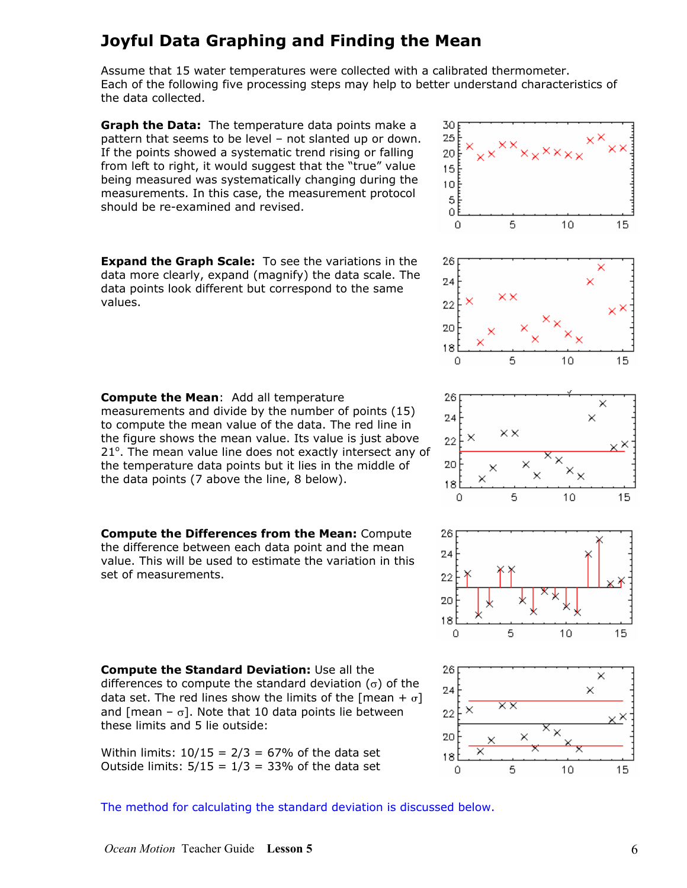## **Joyful Data Graphing and Finding the Mean**

Assume that 15 water temperatures were collected with a calibrated thermometer. Each of the following five processing steps may help to better understand characteristics of the data collected.

**Graph the Data:** The temperature data points make a pattern that seems to be level – not slanted up or down. If the points showed a systematic trend rising or falling from left to right, it would suggest that the "true" value being measured was systematically changing during the measurements. In this case, the measurement protocol should be re-examined and revised.

**Expand the Graph Scale:** To see the variations in the data more clearly, expand (magnify) the data scale. The data points look different but correspond to the same values.

**Compute the Mean**: Add all temperature measurements and divide by the number of points (15) to compute the mean value of the data. The red line in the figure shows the mean value. Its value is just above 21°. The mean value line does not exactly intersect any of the temperature data points but it lies in the middle of the data points (7 above the line, 8 below).

**Compute the Differences from the Mean:** Compute the difference between each data point and the mean value. This will be used to estimate the variation in this set of measurements.

**Compute the Standard Deviation:** Use all the differences to compute the standard deviation ( $\sigma$ ) of the data set. The red lines show the limits of the [mean +  $\sigma$ ] and [mean –  $\sigma$ ]. Note that 10 data points lie between these limits and 5 lie outside:

Within limits:  $10/15 = 2/3 = 67%$  of the data set Outside limits:  $5/15 = 1/3 = 33%$  of the data set



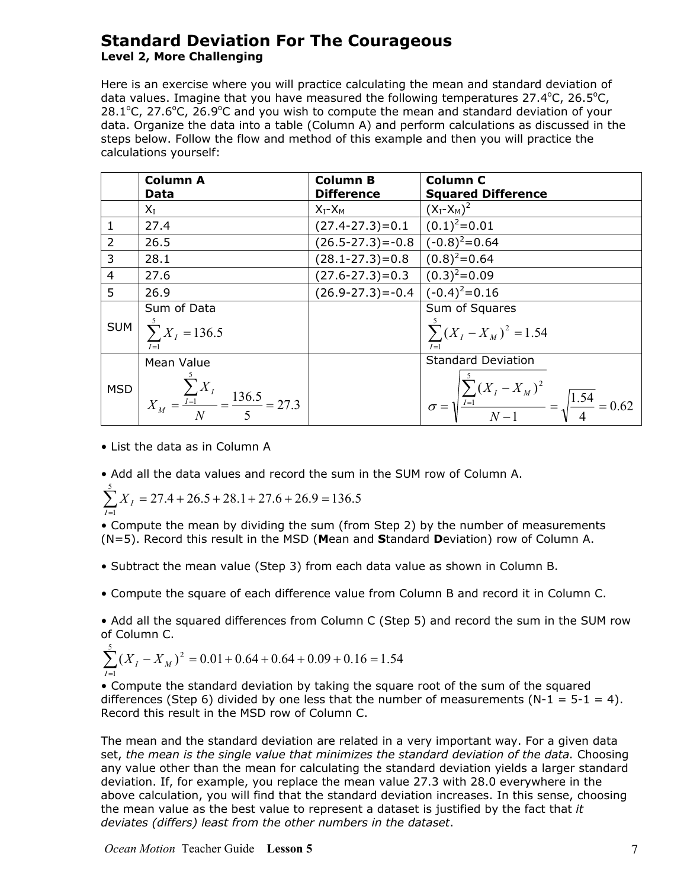### **Standard Deviation For The Courageous Level 2, More Challenging**

Here is an exercise where you will practice calculating the mean and standard deviation of data values. Imagine that you have measured the following temperatures  $27.4^{\circ}$ C,  $26.5^{\circ}$ C,  $28.1^{\circ}$ C, 27.6 $^{\circ}$ C, 26.9 $^{\circ}$ C and you wish to compute the mean and standard deviation of your data. Organize the data into a table (Column A) and perform calculations as discussed in the steps below. Follow the flow and method of this example and then you will practice the calculations yourself:

|                | <b>Column A</b>                                                   | <b>Column B</b>                            | <b>Column C</b>                                                                           |
|----------------|-------------------------------------------------------------------|--------------------------------------------|-------------------------------------------------------------------------------------------|
|                | Data                                                              | <b>Difference</b>                          | <b>Squared Difference</b>                                                                 |
|                | $X_I$                                                             | $X_I - X_M$                                | $(X_{I} - X_{M})^{2}$                                                                     |
| $\mathbf{1}$   | 27.4                                                              | $(27.4 - 27.3) = 0.1$                      | $(0.1)^2 = 0.01$                                                                          |
| $\overline{2}$ | 26.5                                                              | $(26.5 - 27.3) = -0.8$ $(-0.8)^{2} = 0.64$ |                                                                                           |
| 3              | 28.1                                                              | $(28.1 - 27.3) = 0.8$ $(0.8)^2 = 0.64$     |                                                                                           |
| $\overline{4}$ | 27.6                                                              | $(27.6-27.3)=0.3$ $(0.3)^2=0.09$           |                                                                                           |
| 5              | 26.9                                                              | $(26.9 - 27.3) = -0.4$ $(-0.4)^{2} = 0.16$ |                                                                                           |
|                | Sum of Data                                                       |                                            | Sum of Squares                                                                            |
| <b>SUM</b>     | $\sum_{I}^{5} X_{I} = 136.5$<br>$I=1$                             |                                            | $\sum_{I}^{3} (X_{I} - X_{M})^{2} = 1.54$<br>$I=1$                                        |
|                | Mean Value                                                        |                                            | <b>Standard Deviation</b>                                                                 |
|                | MSD $X_M = \frac{\sum_{I=1}^{3} X_I}{N} = \frac{136.5}{5} = 27.3$ |                                            | $\sigma = \sqrt{\frac{\sum_{I=1}^{5} (X_I - X_M)^2}{N-1}} = \sqrt{\frac{1.54}{4}} = 0.62$ |

- List the data as in Column A
- Add all the data values and record the sum in the SUM row of Column A.

$$
\sum_{I=1}^{5} X_I = 27.4 + 26.5 + 28.1 + 27.6 + 26.9 = 136.5
$$

• Compute the mean by dividing the sum (from Step 2) by the number of measurements (N=5). Record this result in the MSD (**M**ean and **S**tandard **D**eviation) row of Column A.

- Subtract the mean value (Step 3) from each data value as shown in Column B.
- Compute the square of each difference value from Column B and record it in Column C.

• Add all the squared differences from Column C (Step 5) and record the sum in the SUM row of Column C.

$$
\sum_{I=1}^{5} (X_I - X_M)^2 = 0.01 + 0.64 + 0.64 + 0.09 + 0.16 = 1.54
$$

• Compute the standard deviation by taking the square root of the sum of the squared differences (Step 6) divided by one less that the number of measurements  $(N-1 = 5-1 = 4)$ . Record this result in the MSD row of Column C.

The mean and the standard deviation are related in a very important way. For a given data set, *the mean is the single value that minimizes the standard deviation of the data.* Choosing any value other than the mean for calculating the standard deviation yields a larger standard deviation. If, for example, you replace the mean value 27.3 with 28.0 everywhere in the above calculation, you will find that the standard deviation increases. In this sense, choosing the mean value as the best value to represent a dataset is justified by the fact that *it deviates (differs) least from the other numbers in the dataset*.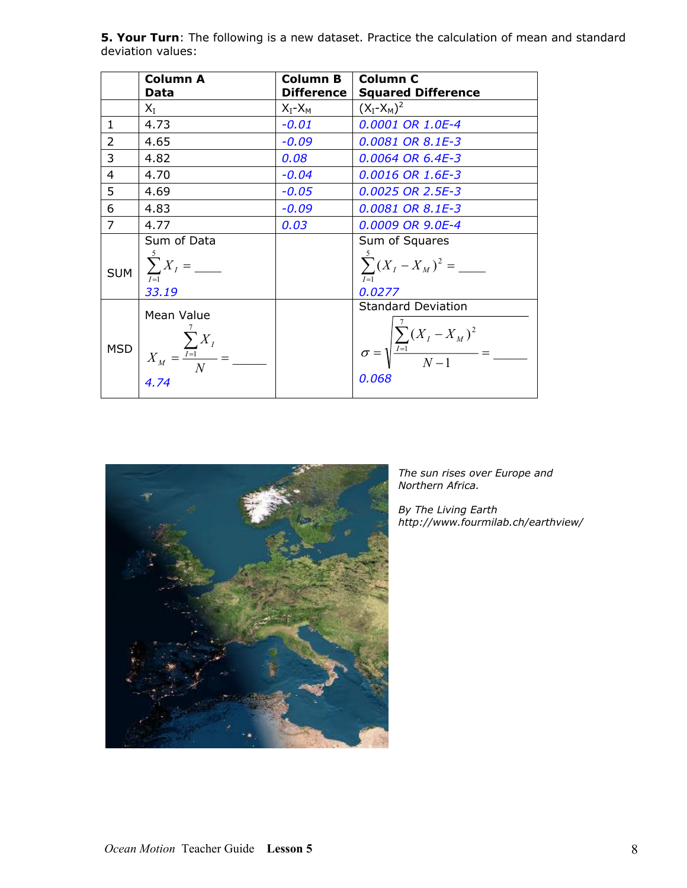|                | <b>Column A</b>                           | <b>Column B</b>   | <b>Column C</b>                                                       |
|----------------|-------------------------------------------|-------------------|-----------------------------------------------------------------------|
|                | Data                                      | <b>Difference</b> | <b>Squared Difference</b>                                             |
|                | $X_I$                                     | $X_I - X_M$       | $(X_{I} - X_{M})^{2}$                                                 |
| $\mathbf{1}$   | 4.73                                      | $-0.01$           | 0.0001 OR 1.0E-4                                                      |
| $\overline{2}$ | 4.65                                      | $-0.09$           | 0.0081 OR 8.1E-3                                                      |
| 3              | 4.82                                      | 0.08              | 0.0064 OR 6.4E-3                                                      |
| $\overline{4}$ | 4.70                                      | $-0.04$           | 0.0016 OR 1.6E-3                                                      |
| 5              | 4.69                                      | $-0.05$           | 0.0025 OR 2.5E-3                                                      |
| 6              | 4.83                                      | $-0.09$           | 0.0081 OR 8.1E-3                                                      |
| $\overline{7}$ | 4.77                                      | 0.03              | 0.0009 OR 9.0E-4                                                      |
|                | Sum of Data                               |                   | Sum of Squares                                                        |
| <b>SUM</b>     | $\sum_{I=1}^{5} X_I = \underline{\qquad}$ |                   | $I=1$                                                                 |
|                | 33.19                                     |                   | 0.0277                                                                |
|                | Mean Value                                |                   | <b>Standard Deviation</b>                                             |
| <b>MSD</b>     |                                           |                   | $\sigma = \sqrt{\frac{\sum_{I=1}^{i} (X_I - X_M)^2}{N-1}} =$<br>0.068 |

**5. Your Turn**: The following is a new dataset. Practice the calculation of mean and standard deviation values:



*The sun rises over Europe and Northern Africa.* 

*By The Living Earth <http://www.fourmilab.ch/earthview/>*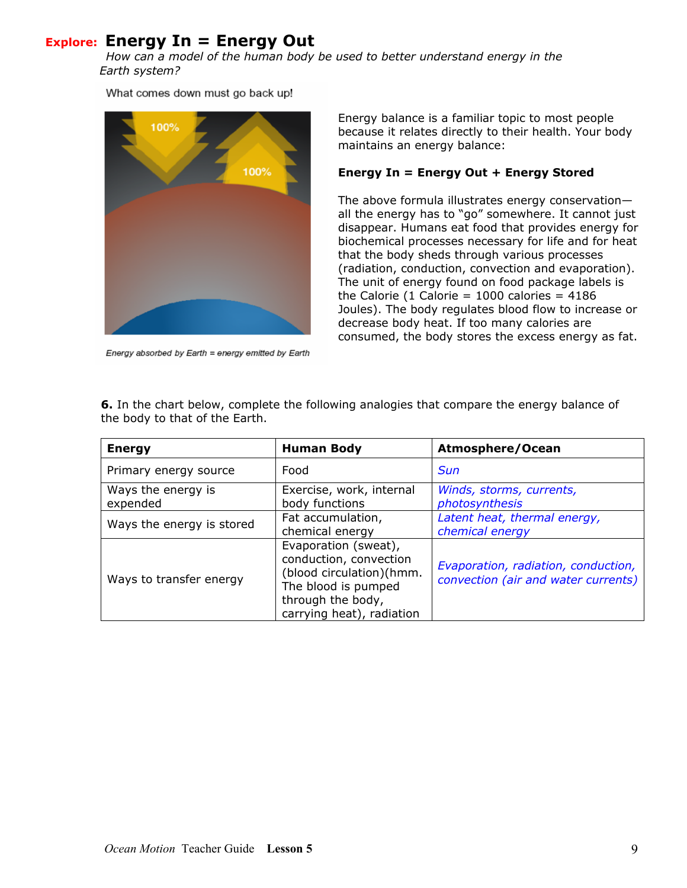## **Explore: Energy In = Energy Out**

*How can a model of the human body be used to better understand energy in the Earth system?* 

What comes down must go back up!



Energy absorbed by Earth = energy emitted by Earth

Energy balance is a familiar topic to most people because it relates directly to their health. Your body maintains an energy balance:

#### **Energy In = Energy Out + Energy Stored**

The above formula illustrates energy conservation all the energy has to "go" somewhere. It cannot just disappear. Humans eat food that provides energy for biochemical processes necessary for life and for heat that the body sheds through various processes (radiation, conduction, convection and evaporation). The unit of energy found on food package labels is the Calorie (1 Calorie =  $1000$  calories =  $4186$ Joules). The body regulates blood flow to increase or decrease body heat. If too many calories are consumed, the body stores the excess energy as fat.

| <b>Energy</b>                  | <b>Human Body</b>                                                                                                                                   | Atmosphere/Ocean                                                           |
|--------------------------------|-----------------------------------------------------------------------------------------------------------------------------------------------------|----------------------------------------------------------------------------|
| Primary energy source          | Food                                                                                                                                                | Sun                                                                        |
| Ways the energy is<br>expended | Exercise, work, internal<br>body functions                                                                                                          | Winds, storms, currents,<br>photosynthesis                                 |
| Ways the energy is stored      | Fat accumulation,<br>chemical energy                                                                                                                | Latent heat, thermal energy,<br>chemical energy                            |
| Ways to transfer energy        | Evaporation (sweat),<br>conduction, convection<br>(blood circulation)(hmm.<br>The blood is pumped<br>through the body,<br>carrying heat), radiation | Evaporation, radiation, conduction,<br>convection (air and water currents) |

**6.** In the chart below, complete the following analogies that compare the energy balance of the body to that of the Earth.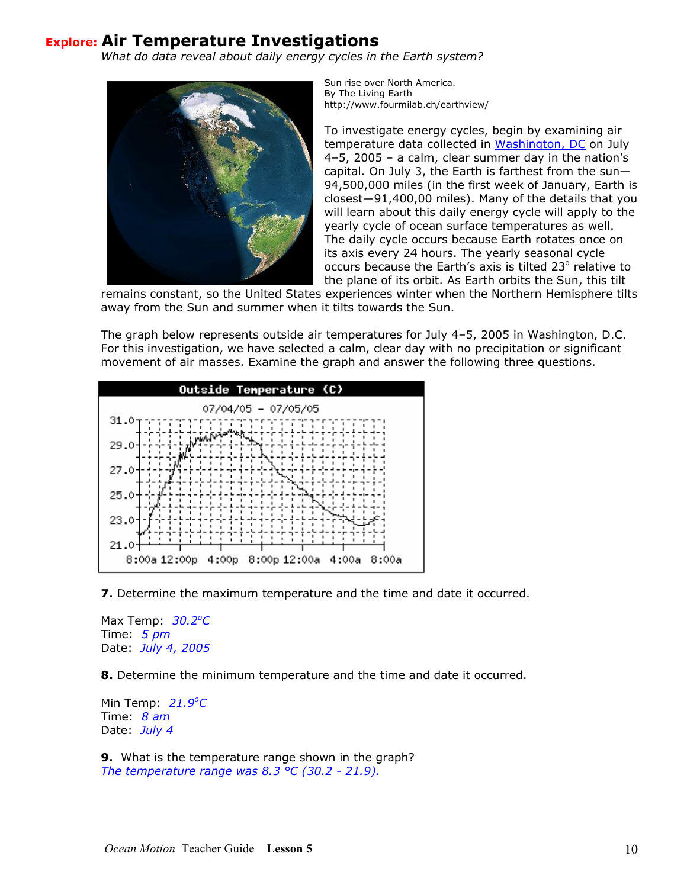## **Explore: Air Temperature Investigations**

*What do data reveal about daily energy cycles in the Earth system?* 



Sun rise over North America. By The Living Earth http://www.fourmilab.ch/earthview/

To investigate energy cycles, begin by examining air temperature data collected in [Washington, DC](http://csc.gallaudet.edu/snyder/ws/) on July 4–5, 2005 – a calm, clear summer day in the nation's capital. On July 3, the Earth is farthest from the sun— 94,500,000 miles (in the first week of January, Earth i s closest—91,400,00 miles). Many of the details that you will learn about this daily energy cycle will apply to the yearly cycle of ocean surface temperatures as well. The daily cycle occurs because Earth rotates once on its axis every 24 hours. The yearly seasonal cycle occurs because the Earth's axis is tilted 23° relative to the plane of its orbit. As Earth orbits the Sun, this tilt

remains constant, so the United States experiences winter when the Northern Hemisphere tilts away from the Sun and summer when it tilts towards the Sun.

The graph below represents outside air temperatures for July 4–5, 2005 in Washington, D.C. For this investigation, we have selected a calm, clear day with no precipitation or significant movement of air masses. Examine the graph and answer the following three questions.



**7.** Determine the maximum temperature and the time and date it occurred.

Max Temp: 30.2°C  *2005*  Date: *July 4,* Time: *5 pm* 

**.** Determine the minimum temperature and the time and date it occurred. **8**

Min Temp: 21.9<sup>o</sup>C Time: *8 am*  Date: *July 4* 

**.** What is the temperature range shown in the graph? **9** *The temperature range was 8.3 °C (30.2 - 21.9).*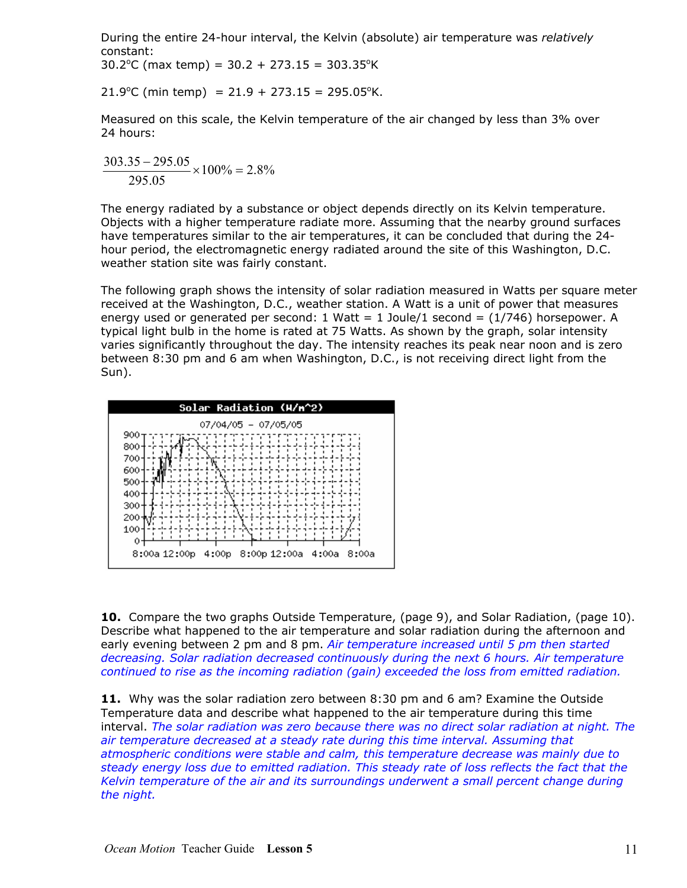During the entire 24-hour interval, the Kelvin (absolute) air temperature was *relatively* constant:

 $30.2^{\circ}$ C (max temp) =  $30.2 + 273.15 = 303.35^{\circ}$ K

 $21.9^{\circ}$ C (min temp) = 21.9 + 273.15 = 295.05°K.

Measured on this scale, the Kelvin temperature of the air changed by less than 3% over 24 hours:

 $100\% = 2.8\%$ 295.05  $\frac{303.35 - 295.05}{20000} \times 100\% =$ 

The energy radiated by a substance or object depends directly on its Kelvin temperature. Objects with a higher temperature radiate more. Assuming that the nearby ground surfaces have temperatures similar to the air temperatures, it can be concluded that during the 24 hour period, the electromagnetic energy radiated around the site of this Washington, D.C. weather station site was fairly constant.

The following graph shows the intensity of solar radiation measured in Watts per square meter received at the Washington, D.C., weather station. A Watt is a unit of power that measures energy used or generated per second: 1 Watt = 1 Joule/1 second =  $(1/746)$  horsepower. A typical light bulb in the home is rated at 75 Watts. As shown by the graph, solar intensity varies significantly throughout the day. The intensity reaches its peak near noon and is zero between 8:30 pm and 6 am when Washington, D.C., is not receiving direct light from the Sun).



**10.** Compare the two graphs Outside Temperature, (page 9), and Solar Radiation, (page 10). Describe what happened to the air temperature and solar radiation during the afternoon and early evening between 2 pm and 8 pm. *Air temperature increased until 5 pm then started decreasing. Solar radiation decreased continuously during the next 6 hours. Air temperature continued to rise as the incoming radiation (gain) exceeded the loss from emitted radiation.* 

**11.** Why was the solar radiation zero between 8:30 pm and 6 am? Examine the Outside Temperature data and describe what happened to the air temperature during this time interval. *The solar radiation was zero because there was no direct solar radiation at night. The air temperature decreased at a steady rate during this time interval. Assuming that atmospheric conditions were stable and calm, this temperature decrease was mainly due to steady energy loss due to emitted radiation. This steady rate of loss reflects the fact that the Kelvin temperature of the air and its surroundings underwent a small percent change during the night.*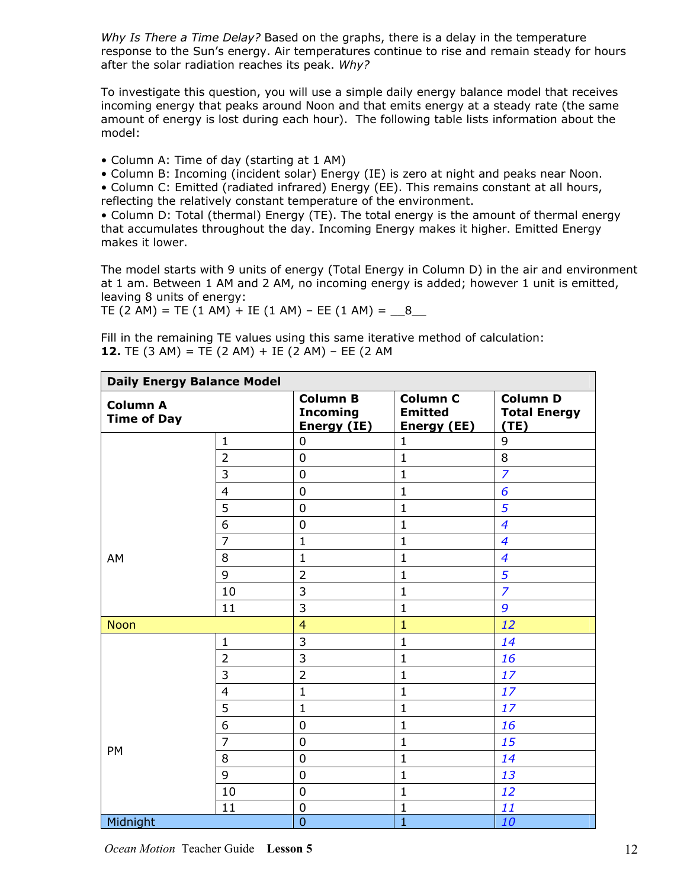*Why Is There a Time Delay?* Based on the graphs, there is a delay in the temperature response to the Sun's energy. Air temperatures continue to rise and remain steady for hours after the solar radiation reaches its peak. *Why?*

To investigate this question, you will use a simple daily energy balance model that receives incoming energy that peaks around Noon and that emits energy at a steady rate (the same amount of energy is lost during each hour). The following table lists information about the model:

- Column A: Time of day (starting at 1 AM)
- Column B: Incoming (incident solar) Energy (IE) is zero at night and peaks near Noon.

• Column C: Emitted (radiated infrared) Energy (EE). This remains constant at all hours, reflecting the relatively constant temperature of the environment.

• Column D: Total (thermal) Energy (TE). The total energy is the amount of thermal energy that accumulates throughout the day. Incoming Energy makes it higher. Emitted Energy makes it lower.

The model starts with 9 units of energy (Total Energy in Column D) in the air and environment at 1 am. Between 1 AM and 2 AM, no incoming energy is added; however 1 unit is emitted, leaving 8 units of energy:

TE (2 AM) = TE (1 AM) + IE (1 AM) - EE (1 AM) =  $\,$  8

Fill in the remaining TE values using this same iterative method of calculation: **12.** TE (3 AM) = TE (2 AM) + IE (2 AM) – EE (2 AM

| <b>Daily Energy Balance Model</b>     |                |                                                   |                                                         |                                                |  |  |  |  |
|---------------------------------------|----------------|---------------------------------------------------|---------------------------------------------------------|------------------------------------------------|--|--|--|--|
| <b>Column A</b><br><b>Time of Day</b> |                | <b>Column B</b><br><b>Incoming</b><br>Energy (IE) | <b>Column C</b><br><b>Emitted</b><br><b>Energy (EE)</b> | <b>Column D</b><br><b>Total Energy</b><br>(TE) |  |  |  |  |
|                                       | $\mathbf{1}$   | $\mathbf 0$                                       | $\mathbf{1}$                                            | 9                                              |  |  |  |  |
|                                       | $\overline{2}$ | $\mathbf 0$                                       | $\mathbf{1}$                                            | 8                                              |  |  |  |  |
|                                       | 3              | $\mathbf 0$                                       | $\mathbf{1}$                                            | $\overline{z}$                                 |  |  |  |  |
|                                       | $\overline{4}$ | $\mathbf 0$                                       | $\mathbf{1}$                                            | 6                                              |  |  |  |  |
|                                       | 5              | $\mathbf 0$                                       | $\mathbf{1}$                                            | 5                                              |  |  |  |  |
|                                       | 6              | 0                                                 | $\mathbf{1}$                                            | $\overline{4}$                                 |  |  |  |  |
|                                       | $\overline{7}$ | $\mathbf{1}$                                      | $\mathbf{1}$                                            | $\overline{\mathcal{A}}$                       |  |  |  |  |
| AM                                    | 8              | $\mathbf{1}$                                      | $\mathbf{1}$                                            | $\overline{\mathcal{A}}$                       |  |  |  |  |
|                                       | 9              | $\overline{2}$                                    | $\mathbf{1}$                                            | 5                                              |  |  |  |  |
|                                       | 10             | 3                                                 | $\mathbf{1}$                                            | $\overline{z}$                                 |  |  |  |  |
|                                       | 11             | 3                                                 | $\mathbf{1}$                                            | 9                                              |  |  |  |  |
| <b>Noon</b>                           |                | $\overline{4}$                                    | $\mathbf{1}$                                            | 12                                             |  |  |  |  |
|                                       | $\mathbf{1}$   | 3                                                 | $\mathbf{1}$                                            | 14                                             |  |  |  |  |
|                                       | $\overline{2}$ | 3                                                 | $\mathbf 1$                                             | 16                                             |  |  |  |  |
|                                       | 3              | $\overline{2}$                                    | $\mathbf{1}$                                            | 17                                             |  |  |  |  |
|                                       | $\overline{4}$ | $\mathbf{1}$                                      | $\mathbf 1$                                             | 17                                             |  |  |  |  |
|                                       | 5              | $\mathbf{1}$                                      | $\mathbf{1}$                                            | 17                                             |  |  |  |  |
|                                       | 6              | $\mathbf 0$                                       | $\mathbf 1$                                             | 16                                             |  |  |  |  |
|                                       | $\overline{7}$ | $\mathbf 0$                                       | 1                                                       | 15                                             |  |  |  |  |
| PM                                    | 8              | $\mathbf 0$                                       | $\mathbf 1$                                             | 14                                             |  |  |  |  |
|                                       | 9              | $\mathbf 0$                                       | $\mathbf{1}$                                            | 13                                             |  |  |  |  |
|                                       | 10             | $\mathbf 0$                                       | $\mathbf{1}$                                            | 12                                             |  |  |  |  |
|                                       | 11             | $\pmb{0}$                                         | $\mathbf 1$                                             | 11                                             |  |  |  |  |
| Midnight                              |                | $\overline{0}$                                    | $\overline{1}$                                          | 10                                             |  |  |  |  |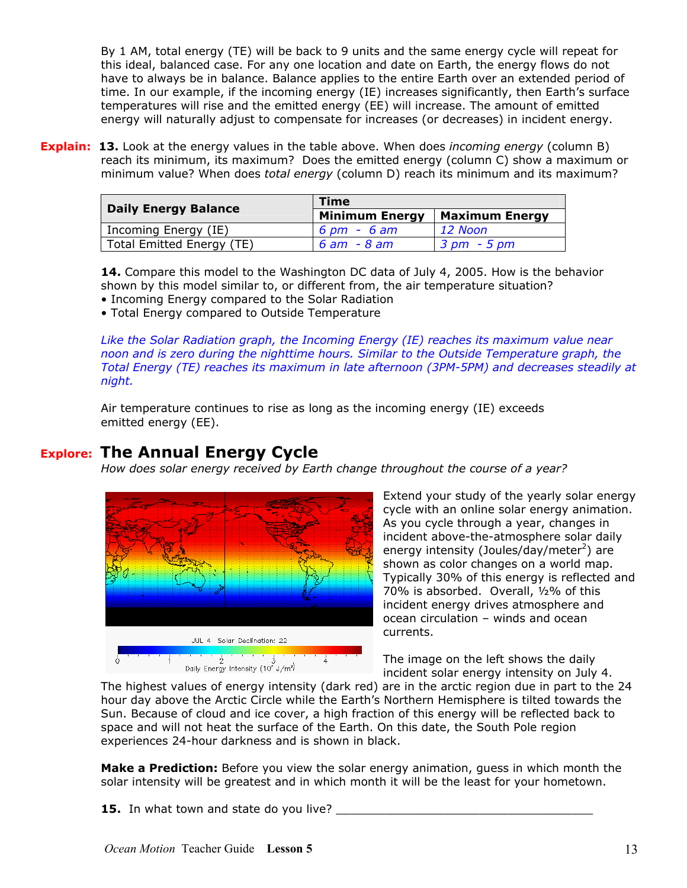By 1 AM, total energy (TE) will be back to 9 units and the same energy cycle will repeat for this ideal, balanced case. For any one location and date on Earth, the energy flows do not have to always be in balance. Balance applies to the entire Earth over an extended period of time. In our example, if the incoming energy (IE) increases significantly, then Earth's surface temperatures will rise and the emitted energy (EE) will increase. The amount of emitted energy will naturally adjust to compensate for increases (or decreases) in incident energy.

**Explain: 13.** Look at the energy values in the table above. When does *incoming energy* (column B) reach its minimum, its maximum? Does the emitted energy (column C) show a maximum or minimum value? When does *total energy* (column D) reach its minimum and its maximum?

| <b>Daily Energy Balance</b> | <b>Time</b>           |                       |  |  |  |  |  |
|-----------------------------|-----------------------|-----------------------|--|--|--|--|--|
|                             | <b>Minimum Energy</b> | <b>Maximum Energy</b> |  |  |  |  |  |
| Incoming Energy (IE)        | 6 pm – 6 am           | $12$ Noon             |  |  |  |  |  |
| Total Emitted Energy (TE)   | 6 am - 8 am           | 3 pm - 5 pm           |  |  |  |  |  |

**14.** Compare this model to the Washington DC data of July 4, 2005. How is the behavior shown by this model similar to, or different from, the air temperature situation? • Incoming Energy compared to the Solar Radiation

• Total Energy compared to Outside Temperature

*Like the Solar Radiation graph, the Incoming Energy (IE) reaches its maximum value near noon and is zero during the nighttime hours. Similar to the Outside Temperature graph, the Total Energy (TE) reaches its maximum in late afternoon (3PM-5PM) and decreases steadily at night.* 

Air temperature continues to rise as long as the incoming energy (IE) exceeds emitted energy (EE).

## **Explore: The Annual Energy Cycle**

*How does solar energy received by Earth change throughout the course of a year?* 



Extend your study of the yearly solar energy cycle with an online solar energy animation. As you cycle through a year, changes in incident above-the-atmosphere solar daily energy intensity (Joules/day/meter<sup>2</sup>) are shown as color changes on a world map. Typically 30% of this energy is reflected and 70% is absorbed. Overall, ½% of this incident energy drives atmosphere and ocean circulation – winds and ocean currents.

The image on the left shows the daily incident solar energy intensity on July 4.

The highest values of energy intensity (dark red) are in the arctic region due in part to the 24 hour day above the Arctic Circle while the Earth's Northern Hemisphere is tilted towards the Sun. Because of cloud and ice cover, a high fraction of this energy will be reflected back to space and will not heat the surface of the Earth. On this date, the South Pole region experiences 24-hour darkness and is shown in black.

**Make a Prediction:** Before you view the solar energy animation, guess in which month the solar intensity will be greatest and in which month it will be the least for your hometown.

**15.** In what town and state do you live?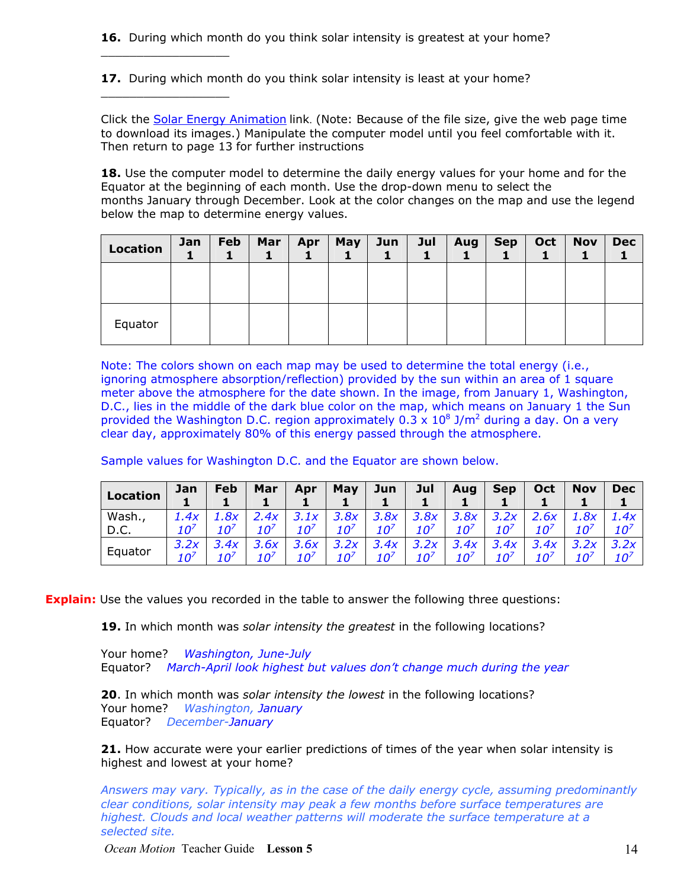**16.** During which month do you think solar intensity is greatest at your home?

**17.** During which month do you think solar intensity is least at your home?

 $\_$ 

 $\_$ 

Click the [Solar Energy Animation](http://oceanmotion.org/html/resources/solar.htm) link. (Note: Because of the file size, give the web page time to download its images.) Manipulate the computer model until you feel comfortable with it. Then return to page 13 for further instructions

**18.** Use the computer model to determine the daily energy values for your home and for the Equator at the beginning of each month. Use the drop-down menu to select the months January through December. Look at the color changes on the map and use the legend below the map to determine energy values.

| <b>Location</b> | Jan | Feb | Mar | Apr | May | Jun | Jul | Aug | <b>Sep</b> | Oct | <b>Nov</b> | <b>Dec</b> |
|-----------------|-----|-----|-----|-----|-----|-----|-----|-----|------------|-----|------------|------------|
|                 |     |     |     |     |     |     |     |     |            |     |            |            |
| Equator         |     |     |     |     |     |     |     |     |            |     |            |            |

Note: The colors shown on each map may be used to determine the total energy (i.e., ignoring atmosphere absorption/reflection) provided by the sun within an area of 1 square meter above the atmosphere for the date shown. In the image, from January 1, Washington, D.C., lies in the middle of the dark blue color on the map, which means on January 1 the Sun provided the Washington D.C. region approximately  $0.3 \times 10^8$  J/m<sup>2</sup> during a day. On a very clear day, approximately 80% of this energy passed through the atmosphere.

Sample values for Washington D.C. and the Equator are shown below.

| <b>Location</b> | Jan  | Feb  | Mar | Apr  | May     | Jun  | Jul  | Aug  | <b>Sep</b>     | Oct  | <b>Nov</b> | <b>Dec</b> |
|-----------------|------|------|-----|------|---------|------|------|------|----------------|------|------------|------------|
|                 |      |      |     |      |         |      |      |      |                |      |            |            |
| Wash.,          | 1.4x | 8x   | 4x  | 3.1x | ,. $8x$ | 3.8x | 3.8x | 3.8x |                | 2.6x |            | 1.4x       |
| D.C.            | 10′  |      |     | 1 Oʻ | 10′     |      |      |      | 1 Π'           |      |            | ∕ח ז       |
| Equator         |      | 4v   |     | 3.6x | 3.2x    | 3.4x |      | 3.4x | .4x            | 3.4x |            | 3.2x       |
|                 | 10′  | ⁄מ ז | 10′ | 10′  | 10'     | ∕ח ז |      | 10′  | 10 $^{\prime}$ |      |            | 10′        |

**Explain:** Use the values you recorded in the table to answer the following three questions:

**19.** In which month was *solar intensity the greatest* in the following locations?

Your home? *Washington, June-July* Equator? *March-April look highest but values don't change much during the year* 

**20**. In which month was *solar intensity the lowest* in the following locations? Your home? *Washington, January* Equator? *December-January*

**21.** How accurate were your earlier predictions of times of the year when solar intensity is highest and lowest at your home?

*Answers may vary. Typically, as in the case of the daily energy cycle, assuming predominantly clear conditions, solar intensity may peak a few months before surface temperatures are highest. Clouds and local weather patterns will moderate the surface temperature at a selected site.* 

*Ocean Motion* Teacher Guide **Lesson 5** 14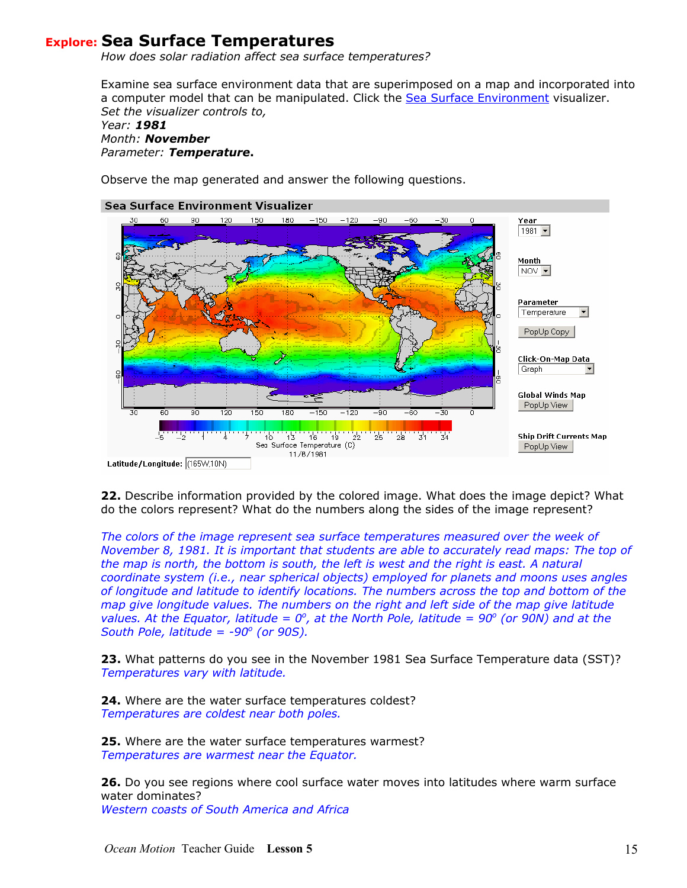## **Explore: Sea Surface Temperatures**

*How does solar radiation affect sea surface temperatures?* 

Examine sea surface environment data that are superimposed on a map and incorporated into a computer model that can be manipulated. Click the [Sea Surface Environment](http://oceanmotion.org/html/resources/ssedv.htm) visualizer. *Set the visualizer controls to,* 

#### *Year: 1981 Month: November Parameter: Temperature***.**

Observe the map generated and answer the following questions.

#### Sea Surface Environment Visualizer



**22.** Describe information provided by the colored image. What does the image depict? What do the colors represent? What do the numbers along the sides of the image represent?

*The colors of the image represent sea surface temperatures measured over the week of November 8, 1981. It is important that students are able to accurately read maps: The top of the map is north, the bottom is south, the left is west and the right is east. A natural coordinate system (i.e., near spherical objects) employed for planets and moons uses angles of longitude and latitude to identify locations. The numbers across the top and bottom of the map give longitude values. The numbers on the right and left side of the map give latitude values. At the Equator, latitude =*  $0^{\circ}$ *, at the North Pole, latitude =*  $90^{\circ}$  *(or 90N) and at the South Pole, latitude = -90<sup>°</sup> (or 90S).* 

**23.** What patterns do you see in the November 1981 Sea Surface Temperature data (SST)? *Temperatures vary with latitude.* 

**24.** Where are the water surface temperatures coldest? *Temperatures are coldest near both poles.* 

**25.** Where are the water surface temperatures warmest? *Temperatures are warmest near the Equator.* 

**26.** Do you see regions where cool surface water moves into latitudes where warm surface water dominates? *Western coasts of South America and Africa*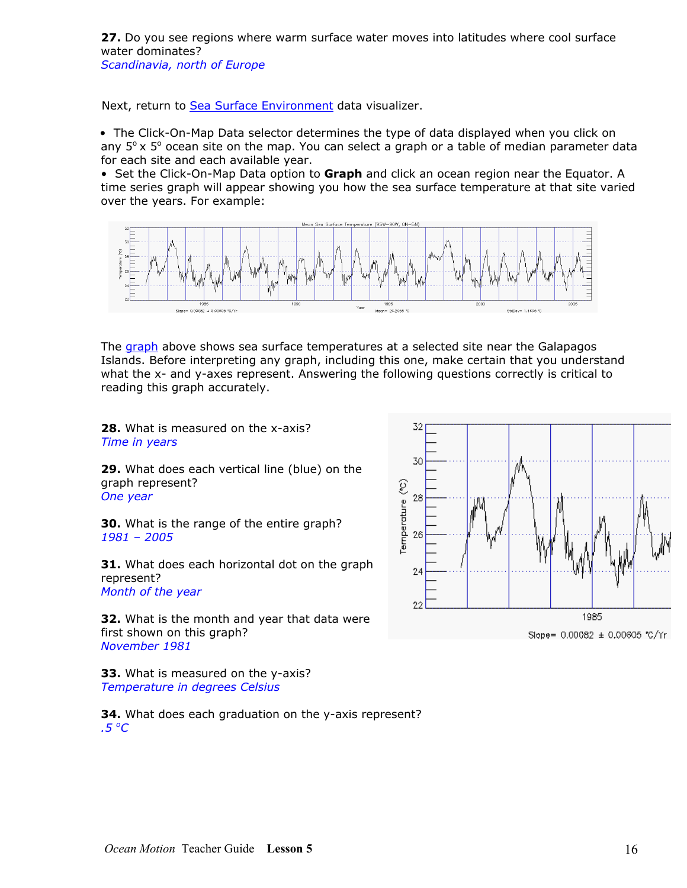**27.** Do you see regions where warm surface water moves into latitudes where cool surface water dominates?

*Scandinavia, north of Europe* 

Next, return to [Sea Surface Environment](http://oceanmotion.org/html/resources/ssedv.htm) data visualizer.

 • The Click-On-Map Data selector determines the type of data displayed when you click on any  $5^\circ \times 5^\circ$  ocean site on the map. You can select a graph or a table of median parameter data for each site and each available year.

• Set the Click-On-Map Data option to **Graph** and click an ocean region near the Equator. A time series graph will appear showing you how the sea surface temperature at that site varied over the years. For example:



The [graph](http://physics.gallaudet.edu/ssedv/sst/pst/pst5318.png) above shows sea surface temperatures at a selected site near the Galapagos Islands. Before interpreting any graph, including this one, make certain that you understand what the x- and y-axes represent. Answering the following questions correctly is critical to reading this graph accurately.

**28.** What is measured on the x-axis? *Time in years* 

**29.** What does each vertical line (blue) on the graph represent? *One year* 

**30.** What is the range of the entire graph? *1981 – 2005* 

**31.** What does each horizontal dot on the graph represent? *Month of the year* 

**32.** What is the month and year that data were first shown on this graph? *November 1981* 

**33.** What is measured on the y-axis? *Temperature in degrees Celsius* 

**34.** What does each graduation on the y-axis represent? *.5 o C*

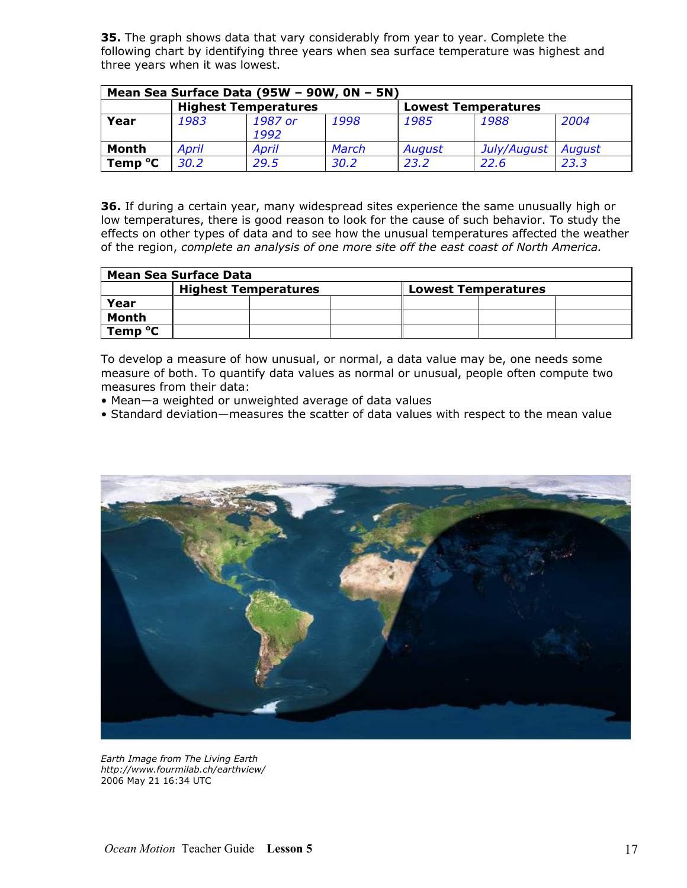**35.** The graph shows data that vary considerably from year to year. Complete the following chart by identifying three years when sea surface temperature was highest and three years when it was lowest.

| Mean Sea Surface Data (95W - 90W, 0N - 5N) |              |                 |       |                            |             |        |  |  |  |
|--------------------------------------------|--------------|-----------------|-------|----------------------------|-------------|--------|--|--|--|
| <b>Highest Temperatures</b>                |              |                 |       | <b>Lowest Temperatures</b> |             |        |  |  |  |
| Year                                       | 1983         | 1987 or<br>1992 | 1998  | 1985                       | 1988        | 2004   |  |  |  |
| Month                                      | <b>April</b> | April           | March | August                     | July/August | August |  |  |  |
| Temp °C                                    | 30.2         | 29.5            | 30.2  | 23.2                       | 22.6        | 23.3   |  |  |  |

**36.** If during a certain year, many widespread sites experience the same unusually high or low temperatures, there is good reason to look for the cause of such behavior. To study the effects on other types of data and to see how the unusual temperatures affected the weather of the region, *complete an analysis of one more site off the east coast of North America.*

| Mean Sea Surface Data |                             |  |  |                            |  |  |
|-----------------------|-----------------------------|--|--|----------------------------|--|--|
|                       | <b>Highest Temperatures</b> |  |  | <b>Lowest Temperatures</b> |  |  |
| Year                  |                             |  |  |                            |  |  |
| Month                 |                             |  |  |                            |  |  |
| Temp °C               |                             |  |  |                            |  |  |

To develop a measure of how unusual, or normal, a data value may be, one needs some measure of both. To quantify data values as normal or unusual, people often compute two measures from their data:

- Mean—a weighted or unweighted average of data values
- Standard deviation—measures the scatter of data values with respect to the mean value



*Earth Image from The Living Earth <http://www.fourmilab.ch/earthview/>* 2006 May 21 16:34 UTC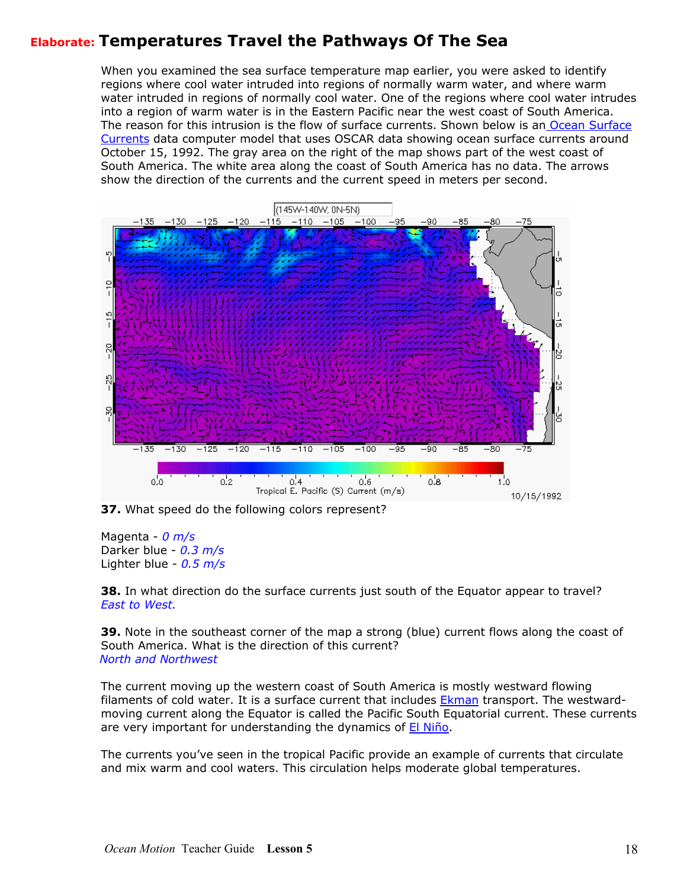## **Elaborate: Temperatures Travel the Pathways Of The Sea**

When you examined the sea surface temperature map earlier, you were asked to identify regions where cool water intruded into regions of normally warm water, and where warm water intruded in regions of normally cool water. One of the regions where cool water intrudes into a region of warm water is in the Eastern Pacific near the west coast of South America. The reason for this intrusion is the flow of surface currents. Shown below is an Ocean Surface [Currents](http://oceanmotion.org/html/resources/oscar.htm) data computer model that uses OSCAR data showing ocean surface currents around October 15, 1992. The gray area on the right of the map shows part of the west coast of South America. The white area along the coast of South America has no data. The arrows show the direction of the currents and the current speed in meters per second.



**37.** What speed do the following colors represent?

Magenta - *0 m/s* Darker blue - *0.3 m/s* Lighter blue - *0.5 m/s*

**38.** In what direction do the surface currents just south of the Equator appear to travel? *East to West.*

**39.** Note in the southeast corner of the map a strong (blue) current flows along the coast of South America. What is the direction of this current? *North and Northwest*

The current moving up the western coast of South America is mostly westward flowing filaments of cold water. It is a surface current that includes **Ekman** transport. The westwardmoving current along the Equator is called the Pacific South Equatorial current. These currents are very important for understanding the dynamics of **[El Niño](http://www.oceanmotion.org/html/impact/el-nino.htm)**.

The currents you've seen in the tropical Pacific provide an example of currents that circulate and mix warm and cool waters. This circulation helps moderate global temperatures.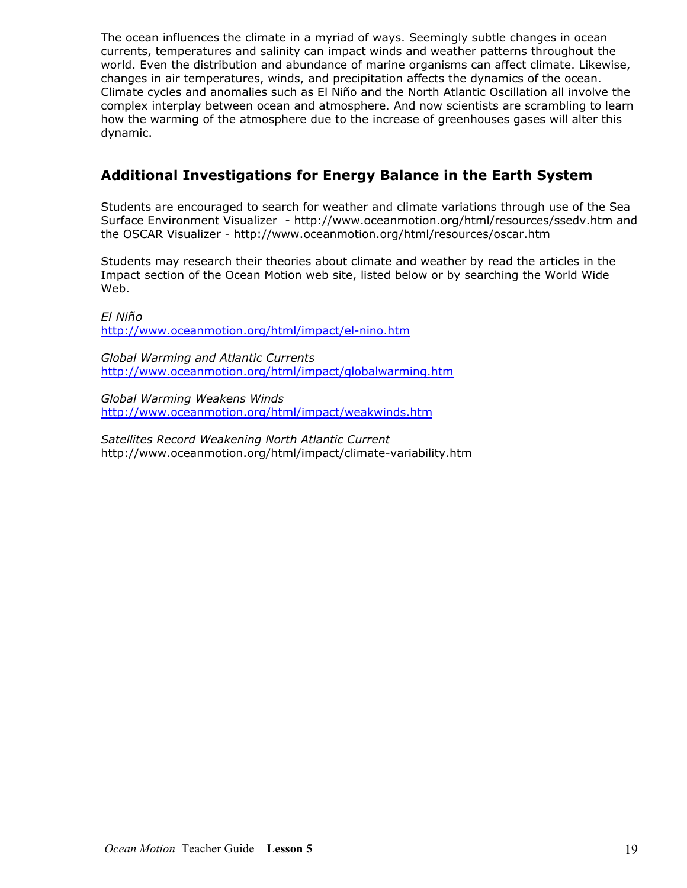The ocean influences the climate in a myriad of ways. Seemingly subtle changes in ocean currents, temperatures and salinity can impact winds and weather patterns throughout the world. Even the distribution and abundance of marine organisms can affect climate. Likewise, changes in air temperatures, winds, and precipitation affects the dynamics of the ocean. Climate cycles and anomalies such as El Niño and the North Atlantic Oscillation all involve the complex interplay between ocean and atmosphere. And now scientists are scrambling to learn how the warming of the atmosphere due to the increase of greenhouses gases will alter this dynamic.

## **Additional Investigations for Energy Balance in the Earth System**

Students are encouraged to search for weather and climate variations through use of the Sea Surface Environment Visualizer - http://www.oceanmotion.org/html/resources/ssedv.htm and the OSCAR Visualizer - http://www.oceanmotion.org/html/resources/oscar.htm

Students may research their theories about climate and weather by read the articles in the Impact section of the Ocean Motion web site, listed below or by searching the World Wide Web.

*El Niño*  <http://www.oceanmotion.org/html/impact/el-nino.htm>

*Global Warming and Atlantic Currents* <http://www.oceanmotion.org/html/impact/globalwarming.htm>

*Global Warming Weakens Winds*  <http://www.oceanmotion.org/html/impact/weakwinds.htm>

*Satellites Record Weakening North Atlantic Current* http://www.oceanmotion.org/html/impact/climate-variability.htm